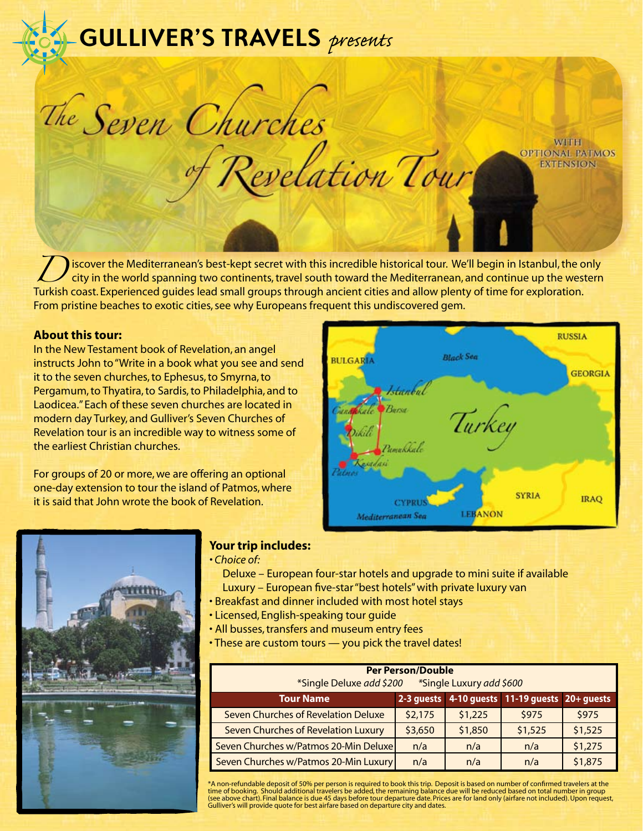# *presents* **GULLIVER'S TRAVELS** *presents*

The Seven Churches

iscover the Mediterranean's best-kept secret with this incredible historical tour. We'll begin in Istanbul, the only city in the world spanning two continents, travel south toward the Mediterranean, and continue up the wes city in the world spanning two continents, travel south toward the Mediterranean, and continue up the western Turkish coast. Experienced guides lead small groups through ancient cities and allow plenty of time for exploration. From pristine beaches to exotic cities, see why Europeans frequent this undiscovered gem.

Revelation Tour

## **About this tour:**

In the New Testament book of Revelation, an angel instructs John to "Write in a book what you see and send it to the seven churches, to Ephesus, to Smyrna, to Pergamum, to Thyatira, to Sardis, to Philadelphia, and to Laodicea." Each of these seven churches are located in modern day Turkey, and Gulliver's Seven Churches of Revelation tour is an incredible way to witness some of the earliest Christian churches.

For groups of 20 or more, we are offering an optional one-day extension to tour the island of Patmos, where it is said that John wrote the book of Revelation.



**WITH** 

**OPTIONAL PATMOS EXTENSION** 



## **Your trip includes:**

- *Choice of:*
	- Deluxe European four-star hotels and upgrade to mini suite if available Luxury – European five-star "best hotels" with private luxury van
- Breakfast and dinner included with most hotel stays
- Licensed, English-speaking tour guide
- All busses, transfers and museum entry fees
- These are custom tours you pick the travel dates!

| <b>Per Person/Double</b><br>*Single Deluxe add \$200<br>*Single Luxury add \$600 |            |         |                                     |         |
|----------------------------------------------------------------------------------|------------|---------|-------------------------------------|---------|
| <b>Tour Name</b>                                                                 | 2-3 quests |         | 4-10 guests 11-19 guests 20+ guests |         |
| Seven Churches of Revelation Deluxe                                              | \$2,175    | \$1,225 | \$975                               | \$975   |
| Seven Churches of Revelation Luxury                                              | \$3,650    | \$1,850 | \$1,525                             | \$1,525 |
| Seven Churches w/Patmos 20-Min Deluxe                                            | n/a        | n/a     | n/a                                 | \$1,275 |
| Seven Churches w/Patmos 20-Min Luxury                                            | n/a        | n/a     | n/a                                 | \$1,875 |

\*A non-refundable deposit of 50% per person is required to book this trip. Deposit is based on number of confirmed travelers at the time of booking. Should additional travelers be added, the remaining balance due will be reduced based on total number in group (see above chart). Final balance is due 45 days before tour departure date. Prices are for land only (airfare not included). Upon request, Gulliver's will provide quote for best airfare based on departure city and dates.